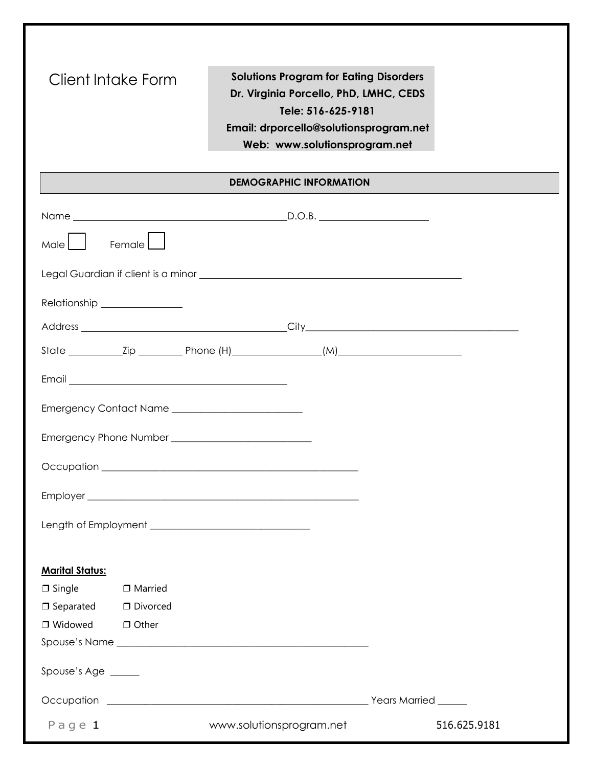| Client Intake Form               | <b>Solutions Program for Eating Disorders</b><br>Dr. Virginia Porcello, PhD, LMHC, CEDS<br>Tele: 516-625-9181<br>Email: drporcello@solutionsprogram.net<br>Web: www.solutionsprogram.net |              |
|----------------------------------|------------------------------------------------------------------------------------------------------------------------------------------------------------------------------------------|--------------|
|                                  | <b>DEMOGRAPHIC INFORMATION</b>                                                                                                                                                           |              |
|                                  |                                                                                                                                                                                          |              |
| Male    <br>Female               |                                                                                                                                                                                          |              |
|                                  |                                                                                                                                                                                          |              |
| Relationship ________________    |                                                                                                                                                                                          |              |
|                                  |                                                                                                                                                                                          |              |
|                                  |                                                                                                                                                                                          |              |
|                                  |                                                                                                                                                                                          |              |
|                                  |                                                                                                                                                                                          |              |
|                                  |                                                                                                                                                                                          |              |
|                                  |                                                                                                                                                                                          |              |
|                                  |                                                                                                                                                                                          |              |
|                                  |                                                                                                                                                                                          |              |
|                                  |                                                                                                                                                                                          |              |
| <b>Marital Status:</b>           |                                                                                                                                                                                          |              |
| $\Box$ Single $\Box$ Married     |                                                                                                                                                                                          |              |
| $\Box$ Separated $\Box$ Divorced |                                                                                                                                                                                          |              |
| $\Box$ Widowed $\Box$ Other      |                                                                                                                                                                                          |              |
|                                  |                                                                                                                                                                                          |              |
| Spouse's Age _____               |                                                                                                                                                                                          |              |
|                                  |                                                                                                                                                                                          |              |
| Page $1$                         | www.solutionsprogram.net                                                                                                                                                                 | 516.625.9181 |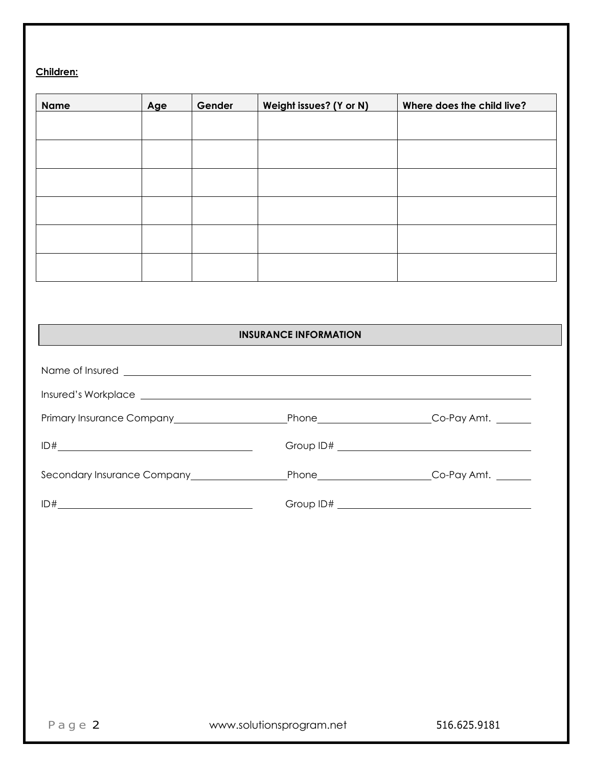# **Children:**

| <b>Name</b> | Age | Gender | Weight issues? (Y or N) | Where does the child live? |
|-------------|-----|--------|-------------------------|----------------------------|
|             |     |        |                         |                            |
|             |     |        |                         |                            |
|             |     |        |                         |                            |
|             |     |        |                         |                            |
|             |     |        |                         |                            |
|             |     |        |                         |                            |
|             |     |        |                         |                            |
|             |     |        |                         |                            |
|             |     |        |                         |                            |

# **INSURANCE INFORMATION**

| Name of Insured <u>entitled</u> and the set of the set of the set of the set of the set of the set of the set of the set of the set of the set of the set of the set of the set of the set of the set of the set of the set of the |                   |  |
|------------------------------------------------------------------------------------------------------------------------------------------------------------------------------------------------------------------------------------|-------------------|--|
|                                                                                                                                                                                                                                    |                   |  |
|                                                                                                                                                                                                                                    | Phone Co-Pay Amt. |  |
|                                                                                                                                                                                                                                    |                   |  |
|                                                                                                                                                                                                                                    | Phone Co-Pay Amt. |  |
|                                                                                                                                                                                                                                    |                   |  |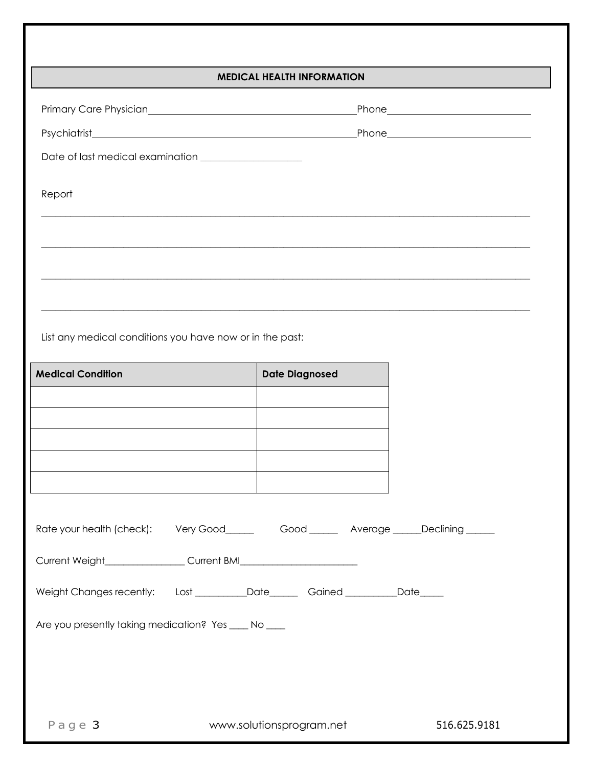### **MEDICAL HEALTH INFORMATION**

| Report                                                                                       |                          |                       |              |
|----------------------------------------------------------------------------------------------|--------------------------|-----------------------|--------------|
|                                                                                              |                          |                       |              |
|                                                                                              |                          |                       |              |
|                                                                                              |                          |                       |              |
|                                                                                              |                          |                       |              |
| List any medical conditions you have now or in the past:                                     |                          |                       |              |
|                                                                                              |                          |                       |              |
| <b>Medical Condition</b>                                                                     |                          | <b>Date Diagnosed</b> |              |
|                                                                                              |                          |                       |              |
|                                                                                              |                          |                       |              |
|                                                                                              |                          |                       |              |
|                                                                                              |                          |                       |              |
|                                                                                              |                          |                       |              |
| Rate your health (check): Very Good_____________Good __________Average _____Declining ______ |                          |                       |              |
|                                                                                              |                          |                       |              |
| Weight Changes recently: Lost __________Date_______Gained ___________Date______              |                          |                       |              |
| Are you presently taking medication? Yes ____ No ____                                        |                          |                       |              |
|                                                                                              |                          |                       |              |
|                                                                                              |                          |                       |              |
|                                                                                              |                          |                       |              |
| Page 3                                                                                       | www.solutionsprogram.net |                       | 516.625.9181 |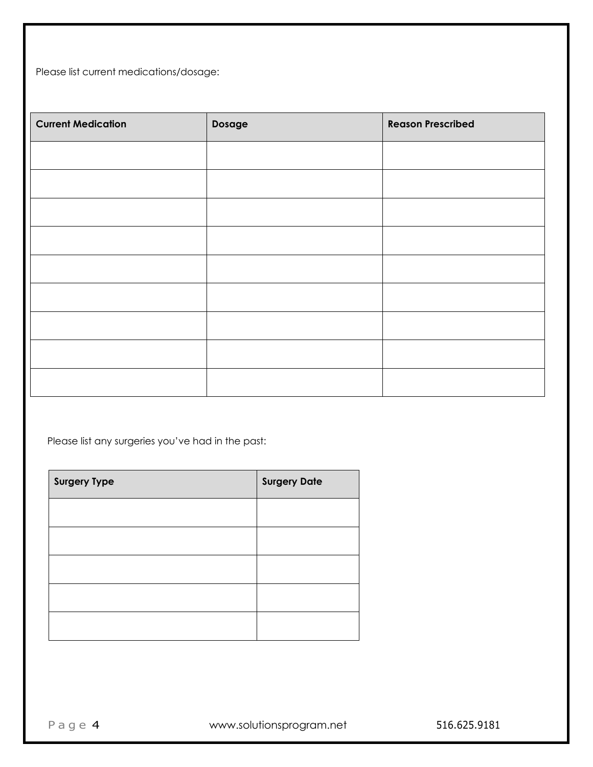Please list current medications/dosage:

| <b>Current Medication</b> | Dosage | <b>Reason Prescribed</b> |
|---------------------------|--------|--------------------------|
|                           |        |                          |
|                           |        |                          |
|                           |        |                          |
|                           |        |                          |
|                           |        |                          |
|                           |        |                          |
|                           |        |                          |
|                           |        |                          |
|                           |        |                          |

Please list any surgeries you've had in the past:

| <b>Surgery Type</b> | <b>Surgery Date</b> |
|---------------------|---------------------|
|                     |                     |
|                     |                     |
|                     |                     |
|                     |                     |
|                     |                     |

Page 4 www.solutionsprogram.net 516.625.9181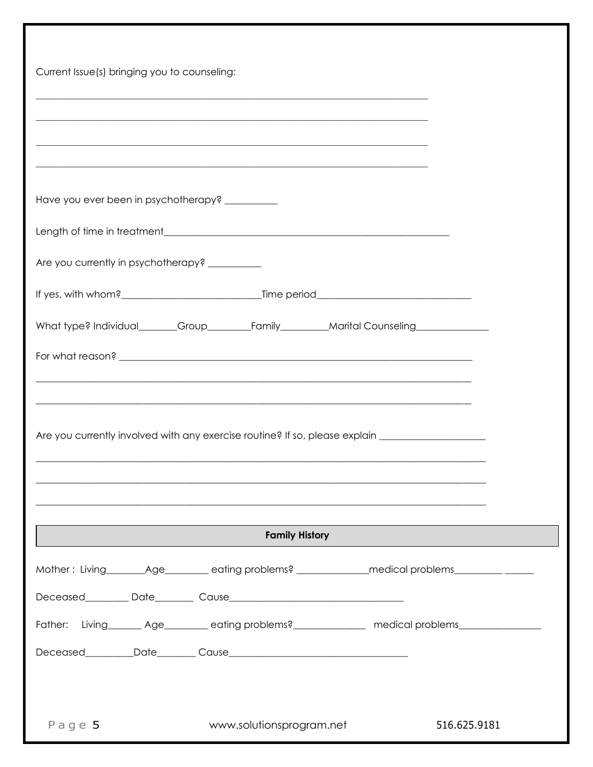| Current Issue(s) bringing you to counseling:                                                                                                                             |  |  |  |
|--------------------------------------------------------------------------------------------------------------------------------------------------------------------------|--|--|--|
| <u> 1989 - Johann Stoff, amerikansk politik (d. 1989)</u><br><u> 1989 - Johann Stoff, amerikansk politik (f. 1989)</u>                                                   |  |  |  |
| <u> 1989 - Johann Stoff, amerikan bestein besteht aus dem besteht der dem Berlingen aus der Berlingen anderen Sto</u><br>Have you ever been in psychotherapy? __________ |  |  |  |
|                                                                                                                                                                          |  |  |  |
| Are you currently in psychotherapy? __________                                                                                                                           |  |  |  |
|                                                                                                                                                                          |  |  |  |
| What type? Individual_______Group________Family________Marital Counseling_____________                                                                                   |  |  |  |
|                                                                                                                                                                          |  |  |  |
|                                                                                                                                                                          |  |  |  |
| Are you currently involved with any exercise routine? If so, please explain _______________________                                                                      |  |  |  |
|                                                                                                                                                                          |  |  |  |
| <b>Family History</b>                                                                                                                                                    |  |  |  |
| Mother: Living________Age__________eating problems? _____________medical problems___________________                                                                     |  |  |  |
|                                                                                                                                                                          |  |  |  |
| Father: Living________ Age_________ eating problems?______________ medical problems________________                                                                      |  |  |  |
|                                                                                                                                                                          |  |  |  |
|                                                                                                                                                                          |  |  |  |
| Page 5<br>www.solutionsprogram.net<br>516.625.9181                                                                                                                       |  |  |  |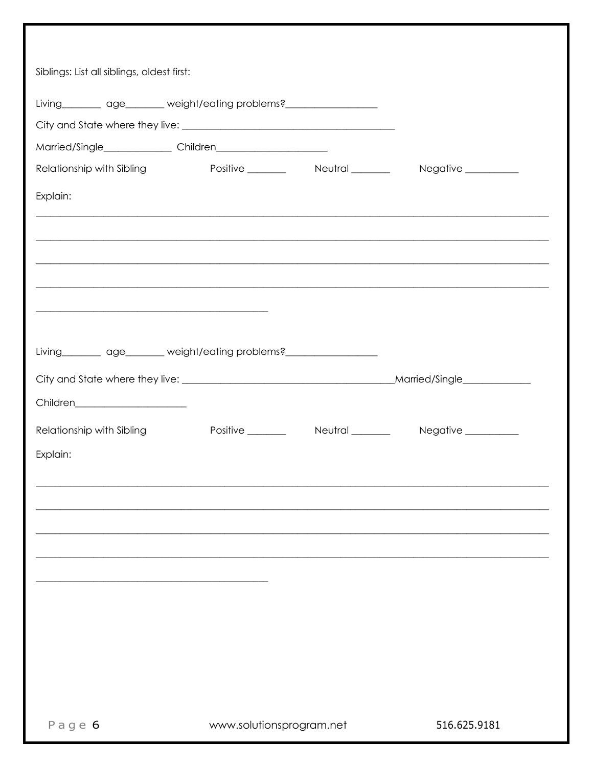| Siblings: List all siblings, oldest first:                            |                          |                                                                                   |
|-----------------------------------------------------------------------|--------------------------|-----------------------------------------------------------------------------------|
| Living age manufactory equations?                                     |                          |                                                                                   |
|                                                                       |                          |                                                                                   |
|                                                                       |                          |                                                                                   |
| Relationship with Sibling                                             |                          | Positive __________ Neutral ________ Negative _________                           |
| Explain:                                                              |                          |                                                                                   |
|                                                                       |                          | ,我们也不能在这里的人,我们也不能在这里的人,我们也不能在这里的人,我们也不能在这里的人,我们也不能在这里的人,我们也不能在这里的人,我们也不能在这里的人,我们也 |
|                                                                       |                          |                                                                                   |
|                                                                       |                          |                                                                                   |
|                                                                       |                          |                                                                                   |
| Living_________ age_______ weight/eating problems?___________________ |                          |                                                                                   |
|                                                                       |                          |                                                                                   |
| Children_________________________                                     |                          |                                                                                   |
| Relationship with Sibling                                             |                          | Positive Neutral Neutral Negative                                                 |
| Explain:                                                              |                          |                                                                                   |
|                                                                       |                          |                                                                                   |
|                                                                       |                          |                                                                                   |
|                                                                       |                          |                                                                                   |
|                                                                       |                          |                                                                                   |
|                                                                       |                          |                                                                                   |
|                                                                       |                          |                                                                                   |
|                                                                       |                          |                                                                                   |
|                                                                       |                          |                                                                                   |
| Page $6$                                                              | www.solutionsprogram.net | 516.625.9181                                                                      |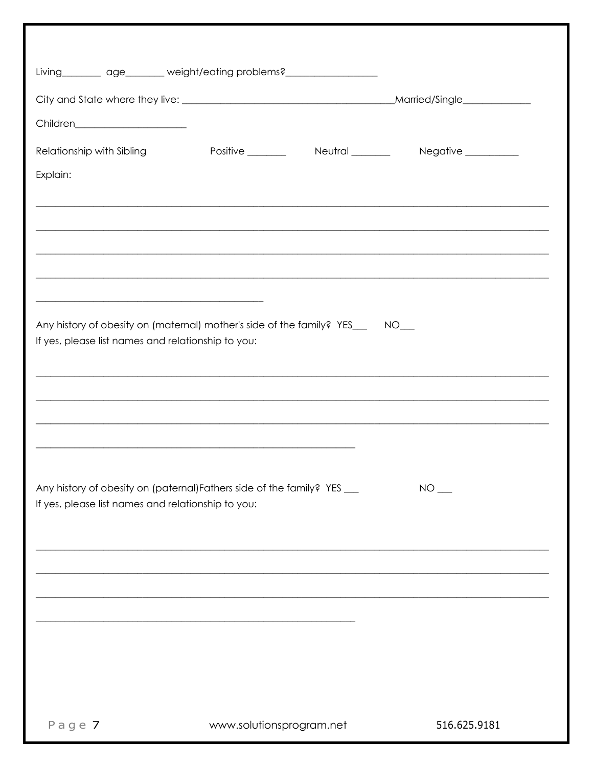| Living_________ age_______ weight/eating problems?________________________                                                           |                          |                                                              |
|--------------------------------------------------------------------------------------------------------------------------------------|--------------------------|--------------------------------------------------------------|
|                                                                                                                                      |                          |                                                              |
| Children______________________                                                                                                       |                          |                                                              |
| Relationship with Sibling                                                                                                            |                          | Positive __________  Neutral _________  Negative ___________ |
| Explain:                                                                                                                             |                          |                                                              |
|                                                                                                                                      |                          |                                                              |
|                                                                                                                                      |                          |                                                              |
|                                                                                                                                      |                          |                                                              |
|                                                                                                                                      |                          |                                                              |
| <u> 2000 - Jan James James James James James James James James James James James James James James James James J</u>                 |                          |                                                              |
| Any history of obesity on (maternal) mother's side of the family? YES___ NO___<br>If yes, please list names and relationship to you: |                          |                                                              |
|                                                                                                                                      |                          |                                                              |
|                                                                                                                                      |                          |                                                              |
|                                                                                                                                      |                          |                                                              |
|                                                                                                                                      |                          |                                                              |
|                                                                                                                                      |                          |                                                              |
| Any history of obesity on (paternal) Fathers side of the family? YES __<br>If yes, please list names and relationship to you:        |                          | $NO$ $\qquad$                                                |
|                                                                                                                                      |                          |                                                              |
|                                                                                                                                      |                          |                                                              |
|                                                                                                                                      |                          |                                                              |
|                                                                                                                                      |                          |                                                              |
|                                                                                                                                      |                          |                                                              |
|                                                                                                                                      |                          |                                                              |
|                                                                                                                                      |                          |                                                              |
|                                                                                                                                      |                          |                                                              |
| Page 7                                                                                                                               | www.solutionsprogram.net | 516.625.9181                                                 |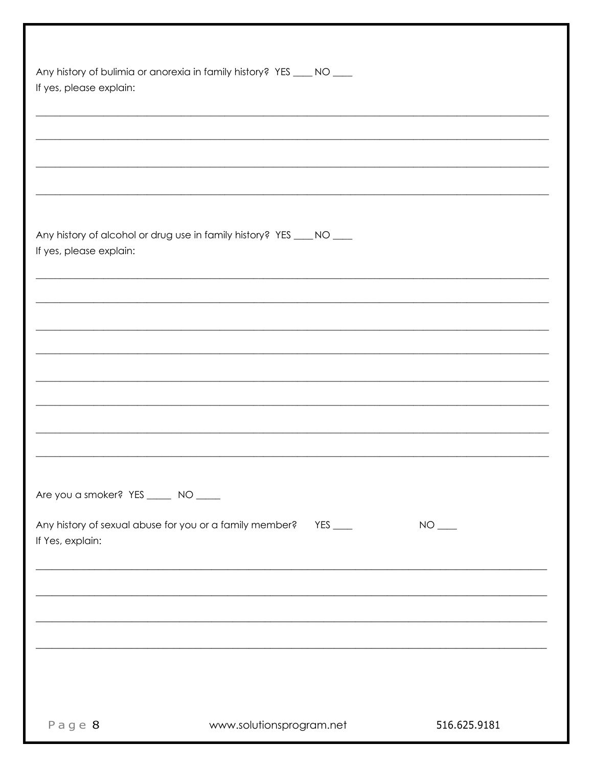| If yes, please explain:                                 | Any history of bulimia or anorexia in family history? YES ____ NO ____                                                                              |              |
|---------------------------------------------------------|-----------------------------------------------------------------------------------------------------------------------------------------------------|--------------|
|                                                         |                                                                                                                                                     |              |
| If yes, please explain:                                 | Any history of alcohol or drug use in family history? YES ____ NO ____                                                                              |              |
|                                                         |                                                                                                                                                     |              |
|                                                         |                                                                                                                                                     |              |
|                                                         |                                                                                                                                                     |              |
| Are you a smoker? YES _____ NO ____<br>If Yes, explain: | Any history of sexual abuse for you or a family member? YES ___<br>,我们也不会有什么。""我们的人,我们也不会有什么?""我们的人,我们也不会有什么?""我们的人,我们也不会有什么?""我们的人,我们也不会有什么?""我们的人 |              |
|                                                         | <u> 1989 - Johann Stoff, deutscher Stoff, der Stoff, der Stoff, der Stoff, der Stoff, der Stoff, der Stoff, der S</u>                               |              |
|                                                         |                                                                                                                                                     |              |
| $P$ age $8$                                             | www.solutionsprogram.net                                                                                                                            | 516.625.9181 |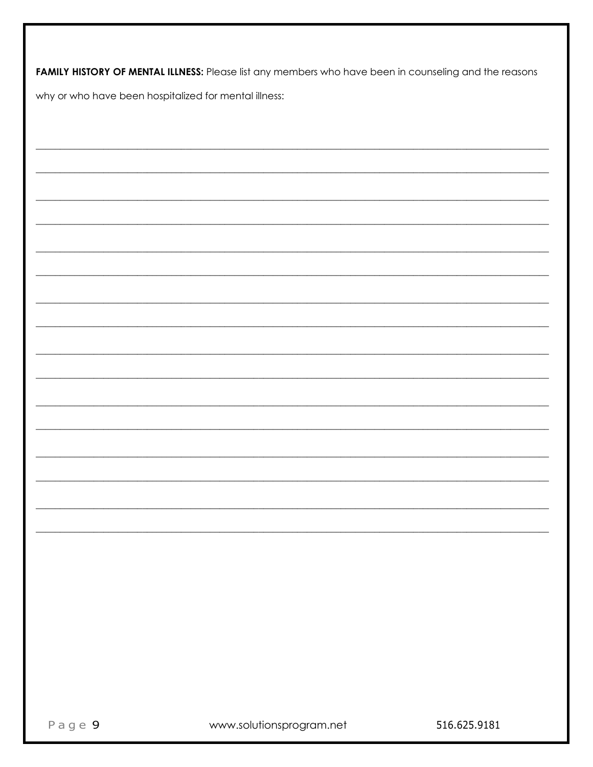| <b>FAMILY HISTORY OF MENTAL ILLNESS:</b> Please list any members who have been in counseling and the reasons |
|--------------------------------------------------------------------------------------------------------------|
| why or who have been hospitalized for mental illness:                                                        |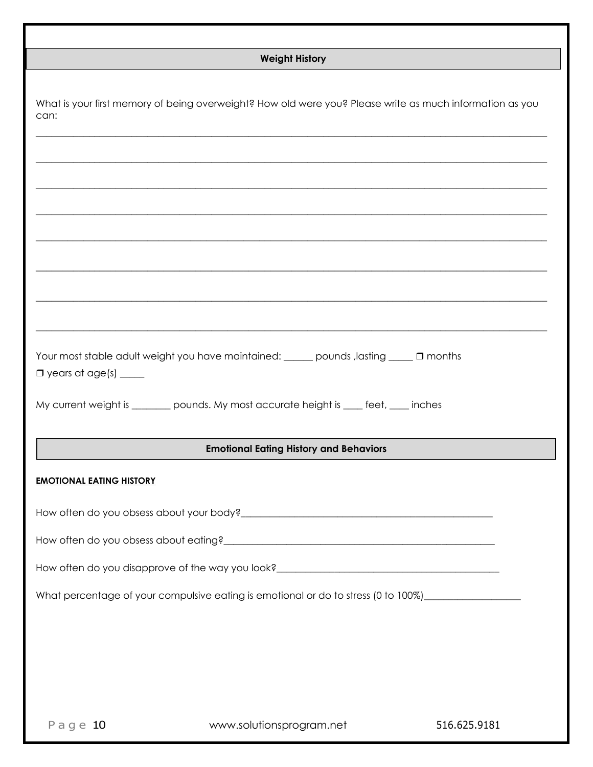| <b>Weight History</b>                                                                                                   |                                                                                                          |              |  |  |
|-------------------------------------------------------------------------------------------------------------------------|----------------------------------------------------------------------------------------------------------|--------------|--|--|
| can:                                                                                                                    | What is your first memory of being overweight? How old were you? Please write as much information as you |              |  |  |
|                                                                                                                         |                                                                                                          |              |  |  |
|                                                                                                                         |                                                                                                          |              |  |  |
|                                                                                                                         | Your most stable adult weight you have maintained: _____ pounds, lasting ____ 0 months                   |              |  |  |
| $\Box$ years at age(s) _____<br>My current weight is ________ pounds. My most accurate height is ____ feet, ____ inches |                                                                                                          |              |  |  |
|                                                                                                                         | <b>Emotional Eating History and Behaviors</b>                                                            |              |  |  |
| <b>EMOTIONAL EATING HISTORY</b>                                                                                         |                                                                                                          |              |  |  |
|                                                                                                                         |                                                                                                          |              |  |  |
|                                                                                                                         |                                                                                                          |              |  |  |
| How often do you disapprove of the way you look? ________________________________                                       |                                                                                                          |              |  |  |
|                                                                                                                         | What percentage of your compulsive eating is emotional or do to stress (0 to 100%)__________________     |              |  |  |
| Page $10$                                                                                                               | www.solutionsprogram.net                                                                                 | 516.625.9181 |  |  |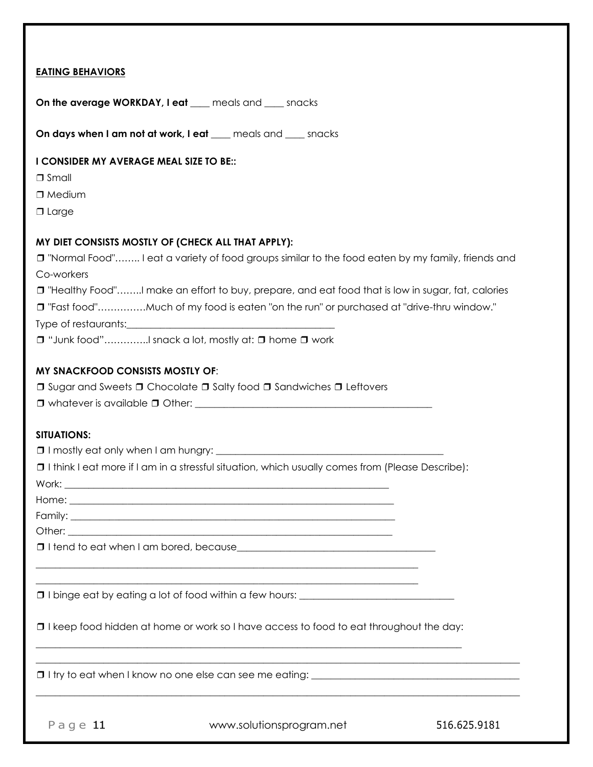| <b>EATING BEHAVIORS</b>                 |                                                                                                         |              |
|-----------------------------------------|---------------------------------------------------------------------------------------------------------|--------------|
|                                         | On the average WORKDAY, I eat ___ meals and ___ snacks                                                  |              |
|                                         | On days when I am not at work, I eat ____ meals and ____ snacks                                         |              |
| I CONSIDER MY AVERAGE MEAL SIZE TO BE:: |                                                                                                         |              |
| $\Box$ Small                            |                                                                                                         |              |
| $\Box$ Medium                           |                                                                                                         |              |
| $\Box$ Large                            |                                                                                                         |              |
|                                         | MY DIET CONSISTS MOSTLY OF (CHECK ALL THAT APPLY):                                                      |              |
|                                         | □ "Normal Food" I eat a variety of food groups similar to the food eaten by my family, friends and      |              |
| Co-workers                              |                                                                                                         |              |
|                                         | □ "Healthy Food"I make an effort to buy, prepare, and eat food that is low in sugar, fat, calories      |              |
|                                         | "Fast food"Much of my food is eaten "on the run" or purchased at "drive-thru window."                   |              |
|                                         |                                                                                                         |              |
|                                         | □ "Junk food"I snack a lot, mostly at: □ home □ work                                                    |              |
| <b>MY SNACKFOOD CONSISTS MOSTLY OF:</b> |                                                                                                         |              |
|                                         | <b>□</b> Sugar and Sweets □ Chocolate □ Salty food □ Sandwiches □ Leftovers                             |              |
|                                         |                                                                                                         |              |
| <b>SITUATIONS:</b>                      |                                                                                                         |              |
|                                         |                                                                                                         |              |
|                                         | $\Box$ I think I eat more if I am in a stressful situation, which usually comes from (Please Describe): |              |
|                                         |                                                                                                         |              |
|                                         |                                                                                                         |              |
|                                         |                                                                                                         |              |
|                                         |                                                                                                         |              |
|                                         |                                                                                                         |              |
|                                         |                                                                                                         |              |
|                                         |                                                                                                         |              |
|                                         | <b>I</b> I keep food hidden at home or work so I have access to food to eat throughout the day:         |              |
|                                         |                                                                                                         |              |
| Page $11$                               | www.solutionsprogram.net                                                                                | 516.625.9181 |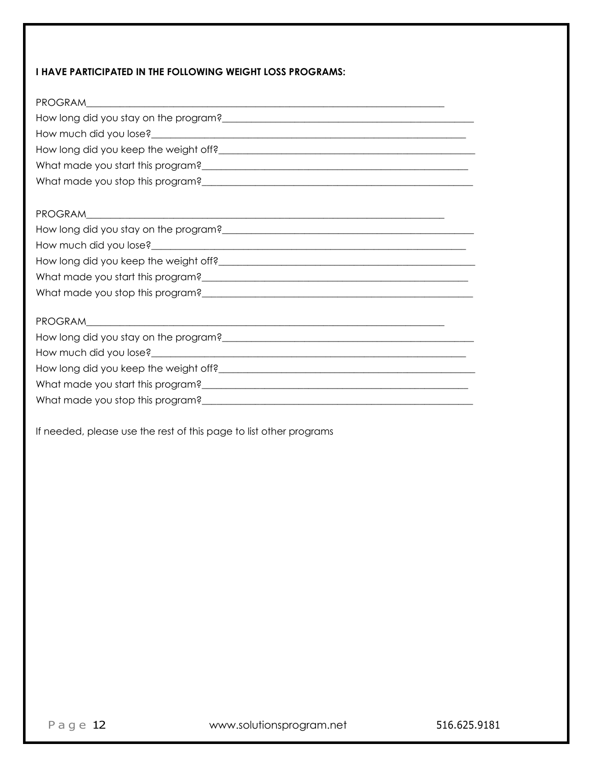#### **I HAVE PARTICIPATED IN THE FOLLOWING WEIGHT LOSS PROGRAMS:**

| How long did you stay on the program?<br><u> and the manual contract of the state of the state of the state of the state of the state of the state of the state of the state of the state of the state of the state of the state o</u> |
|----------------------------------------------------------------------------------------------------------------------------------------------------------------------------------------------------------------------------------------|
|                                                                                                                                                                                                                                        |
|                                                                                                                                                                                                                                        |
|                                                                                                                                                                                                                                        |
|                                                                                                                                                                                                                                        |
|                                                                                                                                                                                                                                        |
|                                                                                                                                                                                                                                        |
|                                                                                                                                                                                                                                        |
|                                                                                                                                                                                                                                        |
|                                                                                                                                                                                                                                        |
|                                                                                                                                                                                                                                        |
|                                                                                                                                                                                                                                        |
|                                                                                                                                                                                                                                        |
|                                                                                                                                                                                                                                        |
|                                                                                                                                                                                                                                        |
|                                                                                                                                                                                                                                        |
|                                                                                                                                                                                                                                        |
|                                                                                                                                                                                                                                        |
|                                                                                                                                                                                                                                        |

If needed, please use the rest of this page to list other programs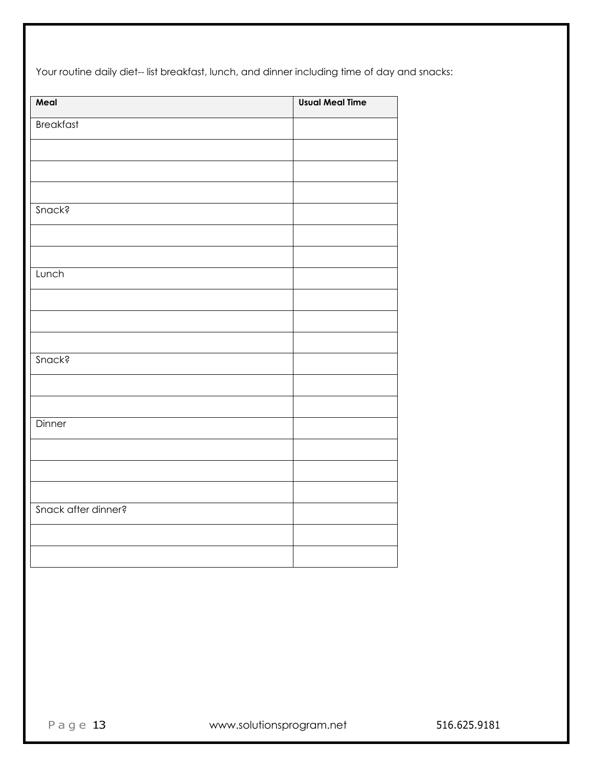Your routine daily diet-- list breakfast, lunch, and dinner including time of day and snacks:

| <b>Usual Meal Time</b> |
|------------------------|
|                        |
|                        |
|                        |
|                        |
|                        |
|                        |
|                        |
|                        |
|                        |
|                        |
|                        |
|                        |
|                        |
|                        |
|                        |
|                        |
|                        |
|                        |
|                        |
|                        |
|                        |
|                        |
|                        |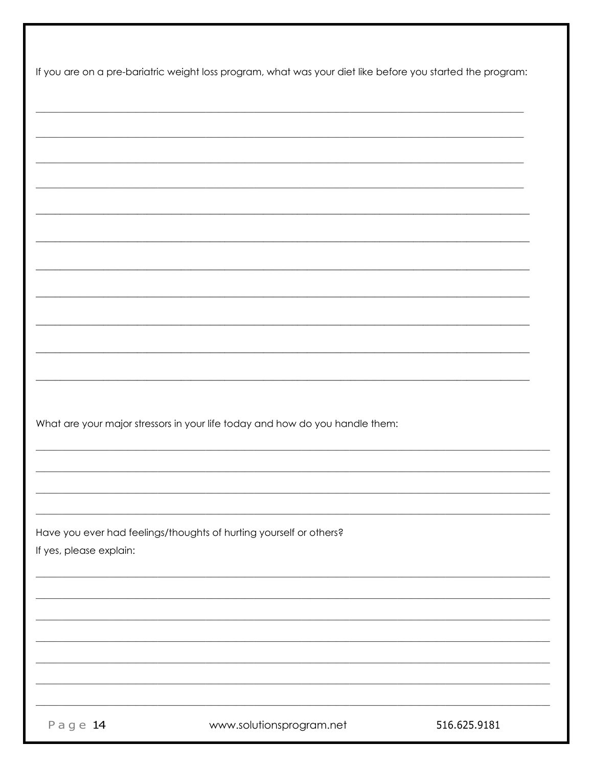| What are your major stressors in your life today and how do you handle them:<br>Have you ever had feelings/thoughts of hurting yourself or others? |
|----------------------------------------------------------------------------------------------------------------------------------------------------|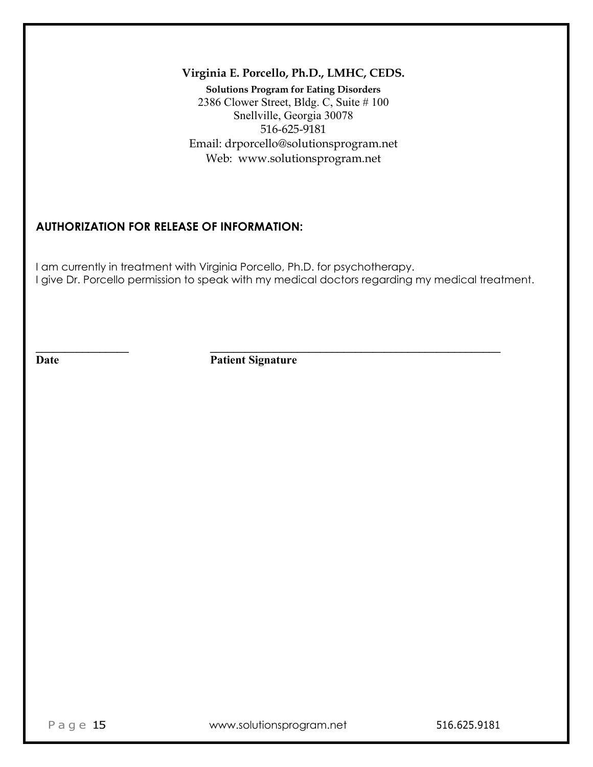### **Virginia E. Porcello, Ph.D., LMHC, CEDS.**

**Solutions Program for Eating Disorders** 2386 Clower Street, Bldg. C, Suite # 100 Snellville, Georgia 30078 516-625-9181 Email: drporcello@solutionsprogram.net Web: www.solutionsprogram.net

## **AUTHORIZATION FOR RELEASE OF INFORMATION:**

I am currently in treatment with Virginia Porcello, Ph.D. for psychotherapy. I give Dr. Porcello permission to speak with my medical doctors regarding my medical treatment.

**Date** Patient Signature

**\_\_\_\_\_\_\_\_\_\_\_\_\_\_\_\_ \_\_\_\_\_\_\_\_\_\_\_\_\_\_\_\_\_\_\_\_\_\_\_\_\_\_\_\_\_\_\_\_\_\_\_\_\_\_\_\_\_\_\_\_\_\_\_\_\_\_**

Page 15 www.solutionsprogram.net 516.625.9181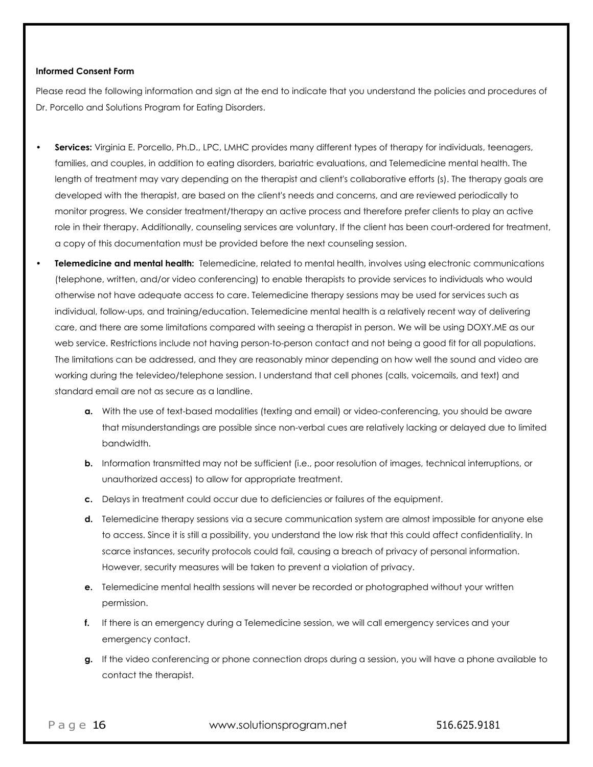#### **Informed Consent Form**

Please read the following information and sign at the end to indicate that you understand the policies and procedures of Dr. Porcello and Solutions Program for Eating Disorders.

- **Services:** Virginia E. Porcello, Ph.D., LPC, LMHC provides many different types of therapy for individuals, teenagers, families, and couples, in addition to eating disorders, bariatric evaluations, and Telemedicine mental health. The length of treatment may vary depending on the therapist and client's collaborative efforts (s). The therapy goals are developed with the therapist, are based on the client's needs and concerns, and are reviewed periodically to monitor progress. We consider treatment/therapy an active process and therefore prefer clients to play an active role in their therapy. Additionally, counseling services are voluntary. If the client has been court-ordered for treatment, a copy of this documentation must be provided before the next counseling session.
- **Telemedicine and mental health:** Telemedicine, related to mental health, involves using electronic communications (telephone, written, and/or video conferencing) to enable therapists to provide services to individuals who would otherwise not have adequate access to care. Telemedicine therapy sessions may be used for services such as individual, follow-ups, and training/education. Telemedicine mental health is a relatively recent way of delivering care, and there are some limitations compared with seeing a therapist in person. We will be using DOXY.ME as our web service. Restrictions include not having person-to-person contact and not being a good fit for all populations. The limitations can be addressed, and they are reasonably minor depending on how well the sound and video are working during the televideo/telephone session. I understand that cell phones (calls, voicemails, and text) and standard email are not as secure as a landline.
	- **a.** With the use of text-based modalities (texting and email) or video-conferencing, you should be aware that misunderstandings are possible since non-verbal cues are relatively lacking or delayed due to limited bandwidth.
	- **b.** Information transmitted may not be sufficient (i.e., poor resolution of images, technical interruptions, or unauthorized access) to allow for appropriate treatment.
	- **c.** Delays in treatment could occur due to deficiencies or failures of the equipment.
	- **d.** Telemedicine therapy sessions via a secure communication system are almost impossible for anyone else to access. Since it is still a possibility, you understand the low risk that this could affect confidentiality. In scarce instances, security protocols could fail, causing a breach of privacy of personal information. However, security measures will be taken to prevent a violation of privacy.
	- **e.** Telemedicine mental health sessions will never be recorded or photographed without your written permission.
	- **f.** If there is an emergency during a Telemedicine session, we will call emergency services and your emergency contact.
	- **g.** If the video conferencing or phone connection drops during a session, you will have a phone available to contact the therapist.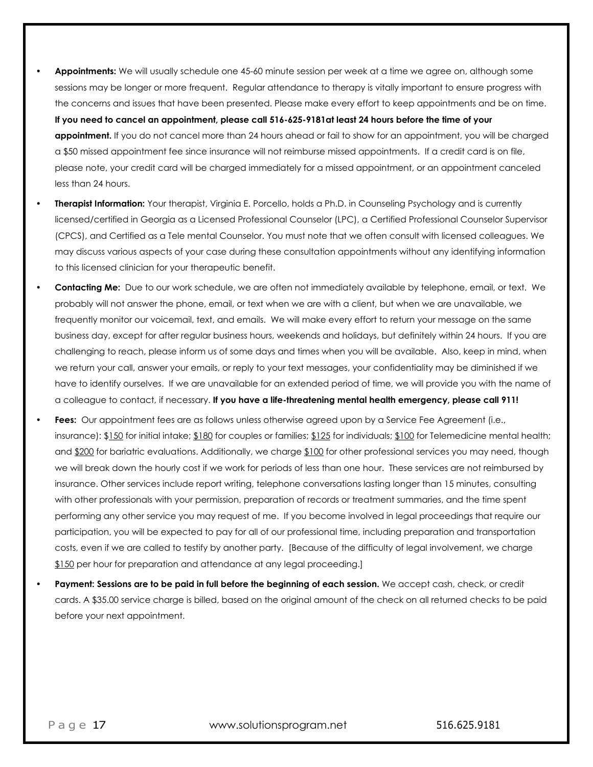- **Appointments:** We will usually schedule one 45-60 minute session per week at a time we agree on, although some sessions may be longer or more frequent. Regular attendance to therapy is vitally important to ensure progress with the concerns and issues that have been presented. Please make every effort to keep appointments and be on time. **If you need to cancel an appointment, please call 516-625-9181at least 24 hours before the time of your appointment.** If you do not cancel more than 24 hours ahead or fail to show for an appointment, you will be charged a \$50 missed appointment fee since insurance will not reimburse missed appointments. If a credit card is on file, please note, your credit card will be charged immediately for a missed appointment, or an appointment canceled less than 24 hours.
- **Therapist Information:** Your therapist, Virginia E. Porcello, holds a Ph.D. in Counseling Psychology and is currently licensed/certified in Georgia as a Licensed Professional Counselor (LPC), a Certified Professional Counselor Supervisor (CPCS), and Certified as a Tele mental Counselor. You must note that we often consult with licensed colleagues. We may discuss various aspects of your case during these consultation appointments without any identifying information to this licensed clinician for your therapeutic benefit.
- **Contacting Me:** Due to our work schedule, we are often not immediately available by telephone, email, or text. We probably will not answer the phone, email, or text when we are with a client, but when we are unavailable, we frequently monitor our voicemail, text, and emails. We will make every effort to return your message on the same business day, except for after regular business hours, weekends and holidays, but definitely within 24 hours. If you are challenging to reach, please inform us of some days and times when you will be available. Also, keep in mind, when we return your call, answer your emails, or reply to your text messages, your confidentiality may be diminished if we have to identify ourselves. If we are unavailable for an extended period of time, we will provide you with the name of a colleague to contact, if necessary. **If you have a life-threatening mental health emergency, please call 911!**
- **Fees:** Our appointment fees are as follows unless otherwise agreed upon by a Service Fee Agreement (i.e., insurance): \$150 for initial intake; \$180 for couples or families; \$125 for individuals; \$100 for Telemedicine mental health; and \$200 for bariatric evaluations. Additionally, we charge \$100 for other professional services you may need, though we will break down the hourly cost if we work for periods of less than one hour. These services are not reimbursed by insurance. Other services include report writing, telephone conversations lasting longer than 15 minutes, consulting with other professionals with your permission, preparation of records or treatment summaries, and the time spent performing any other service you may request of me. If you become involved in legal proceedings that require our participation, you will be expected to pay for all of our professional time, including preparation and transportation costs, even if we are called to testify by another party. [Because of the difficulty of legal involvement, we charge \$150 per hour for preparation and attendance at any legal proceeding.]
- **Payment: Sessions are to be paid in full before the beginning of each session.** We accept cash, check, or credit cards. A \$35.00 service charge is billed, based on the original amount of the check on all returned checks to be paid before your next appointment.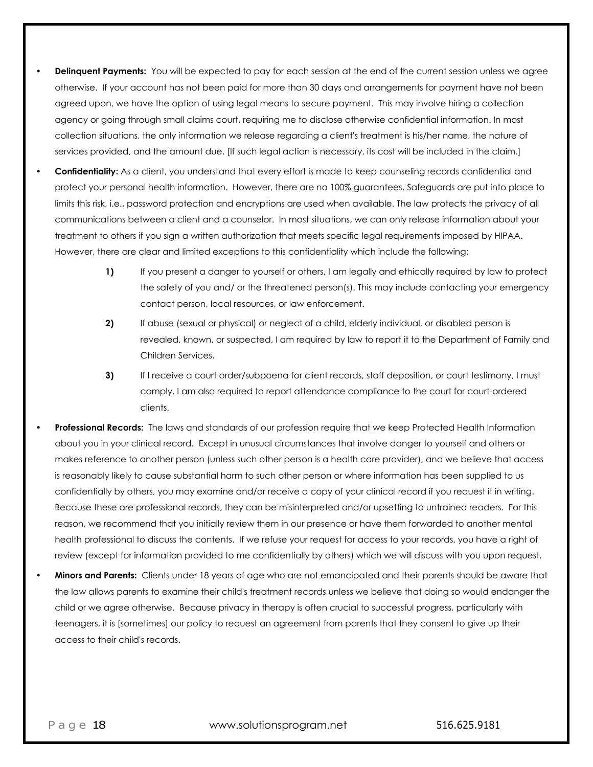- **Delinquent Payments:** You will be expected to pay for each session at the end of the current session unless we agree otherwise. If your account has not been paid for more than 30 days and arrangements for payment have not been agreed upon, we have the option of using legal means to secure payment. This may involve hiring a collection agency or going through small claims court, requiring me to disclose otherwise confidential information. In most collection situations, the only information we release regarding a client's treatment is his/her name, the nature of services provided, and the amount due. [If such legal action is necessary, its cost will be included in the claim.]
- **Confidentiality:** As a client, you understand that every effort is made to keep counseling records confidential and protect your personal health information. However, there are no 100% guarantees. Safeguards are put into place to limits this risk, i.e., password protection and encryptions are used when available. The law protects the privacy of all communications between a client and a counselor. In most situations, we can only release information about your treatment to others if you sign a written authorization that meets specific legal requirements imposed by HIPAA. However, there are clear and limited exceptions to this confidentiality which include the following:
	- **1)** If you present a danger to yourself or others, I am legally and ethically required by law to protect the safety of you and/ or the threatened person(s). This may include contacting your emergency contact person, local resources, or law enforcement.
	- **2)** If abuse (sexual or physical) or neglect of a child, elderly individual, or disabled person is revealed, known, or suspected, I am required by law to report it to the Department of Family and Children Services.
	- **3)** If I receive a court order/subpoena for client records, staff deposition, or court testimony, I must comply. I am also required to report attendance compliance to the court for court-ordered clients.
- **Professional Records:** The laws and standards of our profession require that we keep Protected Health Information about you in your clinical record. Except in unusual circumstances that involve danger to yourself and others or makes reference to another person (unless such other person is a health care provider), and we believe that access is reasonably likely to cause substantial harm to such other person or where information has been supplied to us confidentially by others, you may examine and/or receive a copy of your clinical record if you request it in writing. Because these are professional records, they can be misinterpreted and/or upsetting to untrained readers. For this reason, we recommend that you initially review them in our presence or have them forwarded to another mental health professional to discuss the contents. If we refuse your request for access to your records, you have a right of review (except for information provided to me confidentially by others) which we will discuss with you upon request.
- **Minors and Parents:** Clients under 18 years of age who are not emancipated and their parents should be aware that the law allows parents to examine their child's treatment records unless we believe that doing so would endanger the child or we agree otherwise. Because privacy in therapy is often crucial to successful progress, particularly with teenagers, it is [sometimes] our policy to request an agreement from parents that they consent to give up their access to their child's records.

Page 18 www.solutionsprogram.net 516.625.9181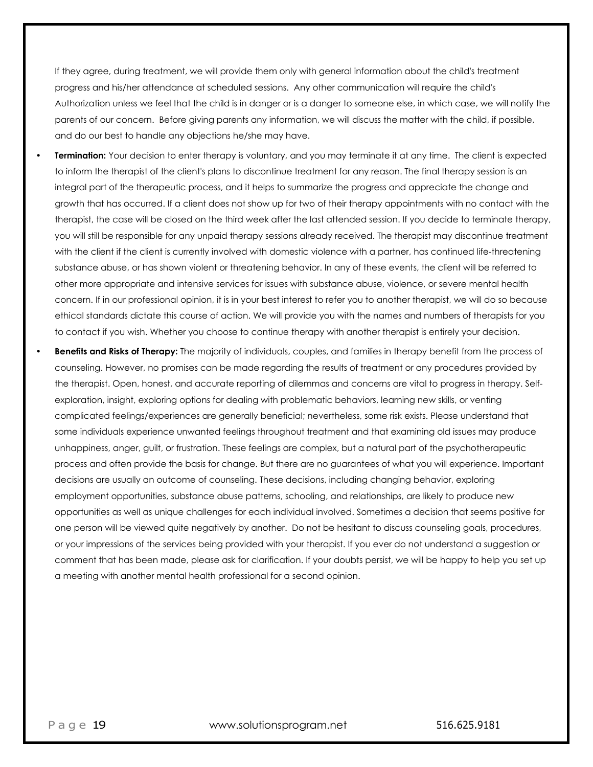If they agree, during treatment, we will provide them only with general information about the child's treatment progress and his/her attendance at scheduled sessions. Any other communication will require the child's Authorization unless we feel that the child is in danger or is a danger to someone else, in which case, we will notify the parents of our concern. Before giving parents any information, we will discuss the matter with the child, if possible, and do our best to handle any objections he/she may have.

- **Termination:** Your decision to enter therapy is voluntary, and you may terminate it at any time. The client is expected to inform the therapist of the client's plans to discontinue treatment for any reason. The final therapy session is an integral part of the therapeutic process, and it helps to summarize the progress and appreciate the change and growth that has occurred. If a client does not show up for two of their therapy appointments with no contact with the therapist, the case will be closed on the third week after the last attended session. If you decide to terminate therapy, you will still be responsible for any unpaid therapy sessions already received. The therapist may discontinue treatment with the client if the client is currently involved with domestic violence with a partner, has continued life-threatening substance abuse, or has shown violent or threatening behavior. In any of these events, the client will be referred to other more appropriate and intensive services for issues with substance abuse, violence, or severe mental health concern. If in our professional opinion, it is in your best interest to refer you to another therapist, we will do so because ethical standards dictate this course of action. We will provide you with the names and numbers of therapists for you to contact if you wish. Whether you choose to continue therapy with another therapist is entirely your decision.
- **Benefits and Risks of Therapy:** The majority of individuals, couples, and families in therapy benefit from the process of counseling. However, no promises can be made regarding the results of treatment or any procedures provided by the therapist. Open, honest, and accurate reporting of dilemmas and concerns are vital to progress in therapy. Selfexploration, insight, exploring options for dealing with problematic behaviors, learning new skills, or venting complicated feelings/experiences are generally beneficial; nevertheless, some risk exists. Please understand that some individuals experience unwanted feelings throughout treatment and that examining old issues may produce unhappiness, anger, guilt, or frustration. These feelings are complex, but a natural part of the psychotherapeutic process and often provide the basis for change. But there are no guarantees of what you will experience. Important decisions are usually an outcome of counseling. These decisions, including changing behavior, exploring employment opportunities, substance abuse patterns, schooling, and relationships, are likely to produce new opportunities as well as unique challenges for each individual involved. Sometimes a decision that seems positive for one person will be viewed quite negatively by another. Do not be hesitant to discuss counseling goals, procedures, or your impressions of the services being provided with your therapist. If you ever do not understand a suggestion or comment that has been made, please ask for clarification. If your doubts persist, we will be happy to help you set up a meeting with another mental health professional for a second opinion.